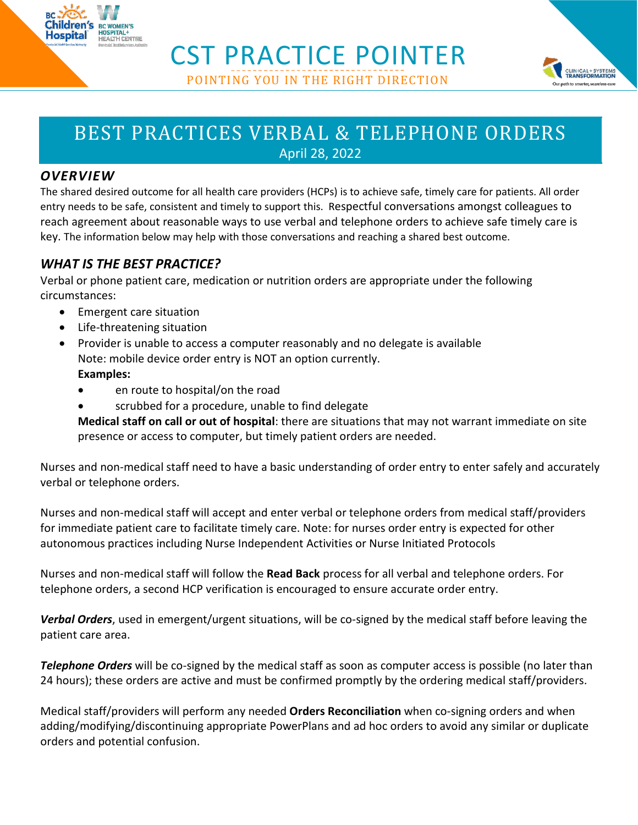

CST PRACTICE POINTER POINTING YOU IN THE RIGHT DIRECTION



# BEST PRACTICES VERBAL & TELEPHONE ORDERS

April 28, 2022

# *OVERVIEW*

The shared desired outcome for all health care providers (HCPs) is to achieve safe, timely care for patients. All order entry needs to be safe, consistent and timely to support this. Respectful conversations amongst colleagues to reach agreement about reasonable ways to use verbal and telephone orders to achieve safe timely care is key. The information below may help with those conversations and reaching a shared best outcome.

# *WHAT IS THE BEST PRACTICE?*

Verbal or phone patient care, medication or nutrition orders are appropriate under the following circumstances:

- Emergent care situation
- Life-threatening situation
- Provider is unable to access a computer reasonably and no delegate is available Note: mobile device order entry is NOT an option currently. **Examples:** 
	- en route to hospital/on the road
	- scrubbed for a procedure, unable to find delegate

**Medical staff on call or out of hospital**: there are situations that may not warrant immediate on site presence or access to computer, but timely patient orders are needed.

Nurses and non-medical staff need to have a basic understanding of order entry to enter safely and accurately verbal or telephone orders.

Nurses and non-medical staff will accept and enter verbal or telephone orders from medical staff/providers for immediate patient care to facilitate timely care. Note: for nurses order entry is expected for other autonomous practices including Nurse Independent Activities or Nurse Initiated Protocols

Nurses and non-medical staff will follow the **Read Back** process for all verbal and telephone orders. For telephone orders, a second HCP verification is encouraged to ensure accurate order entry.

*Verbal Orders*, used in emergent/urgent situations, will be co-signed by the medical staff before leaving the patient care area.

*Telephone Orders* will be co-signed by the medical staff as soon as computer access is possible (no later than 24 hours); these orders are active and must be confirmed promptly by the ordering medical staff/providers.

Medical staff/providers will perform any needed **Orders Reconciliation** when co-signing orders and when adding/modifying/discontinuing appropriate PowerPlans and ad hoc orders to avoid any similar or duplicate orders and potential confusion.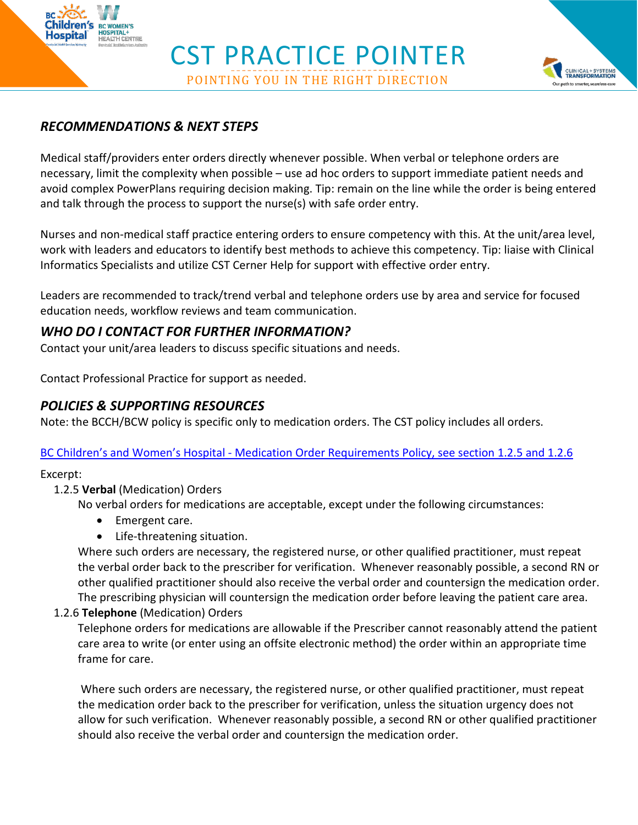



## *RECOMMENDATIONS & NEXT STEPS*

SPITAL+<br>ALTH CENTRE

Medical staff/providers enter orders directly whenever possible. When verbal or telephone orders are necessary, limit the complexity when possible – use ad hoc orders to support immediate patient needs and avoid complex PowerPlans requiring decision making. Tip: remain on the line while the order is being entered and talk through the process to support the nurse(s) with safe order entry.

Nurses and non-medical staff practice entering orders to ensure competency with this. At the unit/area level, work with leaders and educators to identify best methods to achieve this competency. Tip: liaise with Clinical Informatics Specialists and utilize CST Cerner Help for support with effective order entry.

Leaders are recommended to track/trend verbal and telephone orders use by area and service for focused education needs, workflow reviews and team communication.

## *WHO DO I CONTACT FOR FURTHER INFORMATION?*

Contact your unit/area leaders to discuss specific situations and needs.

Contact Professional Practice for support as needed.

### *POLICIES & SUPPORTING RESOURCES*

Note: the BCCH/BCW policy is specific only to medication orders. The CST policy includes all orders.

#### BC Children's and Women's Hospital - [Medication Order Requirements Policy,](http://shop.healthcarebc.ca/phsa/BCWH_2/Pharmacy,%20Therapeutics%20and%20Nutrition/C-0506-11-60283.pdf) see section 1.2.5 and 1.2.6

Excerpt:

#### 1.2.5 **Verbal** (Medication) Orders

No verbal orders for medications are acceptable, except under the following circumstances:

- Emergent care.
- Life-threatening situation.

Where such orders are necessary, the registered nurse, or other qualified practitioner, must repeat the verbal order back to the prescriber for verification. Whenever reasonably possible, a second RN or other qualified practitioner should also receive the verbal order and countersign the medication order. The prescribing physician will countersign the medication order before leaving the patient care area.

#### 1.2.6 **Telephone** (Medication) Orders

Telephone orders for medications are allowable if the Prescriber cannot reasonably attend the patient care area to write (or enter using an offsite electronic method) the order within an appropriate time frame for care.

Where such orders are necessary, the registered nurse, or other qualified practitioner, must repeat the medication order back to the prescriber for verification, unless the situation urgency does not allow for such verification. Whenever reasonably possible, a second RN or other qualified practitioner should also receive the verbal order and countersign the medication order.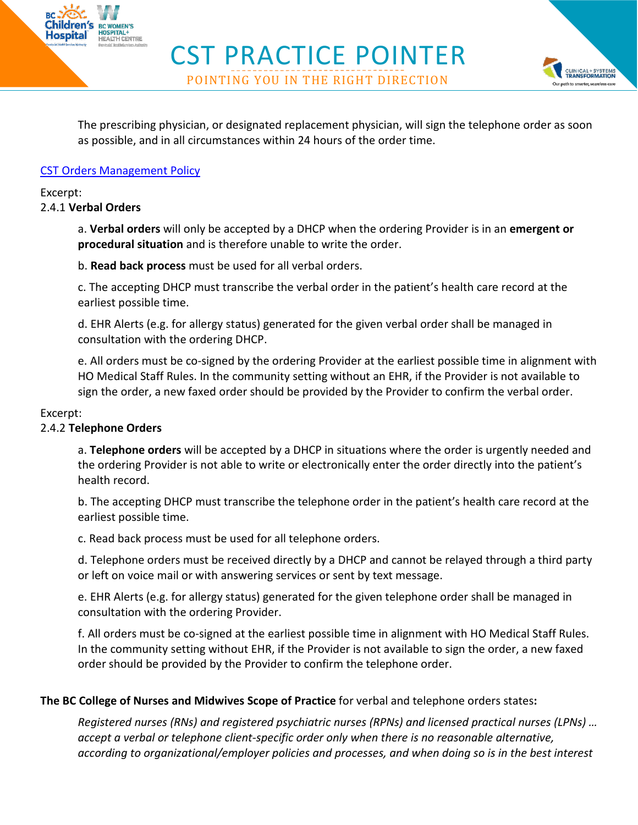The prescribing physician, or designated replacement physician, will sign the telephone order as soon as possible, and in all circumstances within 24 hours of the order time.

**CLINICAL+SYSTEMS**<br>TRANSFORMATION r path to smarter, seamless ca

CST PRACTICE POINTER

POINTING YOU IN THE RIGHT DIRECTION

#### **[CST Orders Management Policy](http://shop.healthcarebc.ca/CST_Documents/CSTOrdersManagementPolicy.pdf)**

**BC WOMEN'S** D**SPITAL+**<br>EALTH CENTRE

Excerpt:

#### 2.4.1 **Verbal Orders**

a. **Verbal orders** will only be accepted by a DHCP when the ordering Provider is in an **emergent or procedural situation** and is therefore unable to write the order.

b. **Read back process** must be used for all verbal orders.

c. The accepting DHCP must transcribe the verbal order in the patient's health care record at the earliest possible time.

d. EHR Alerts (e.g. for allergy status) generated for the given verbal order shall be managed in consultation with the ordering DHCP.

e. All orders must be co-signed by the ordering Provider at the earliest possible time in alignment with HO Medical Staff Rules. In the community setting without an EHR, if the Provider is not available to sign the order, a new faxed order should be provided by the Provider to confirm the verbal order.

#### Excerpt:

#### 2.4.2 **Telephone Orders**

a. **Telephone orders** will be accepted by a DHCP in situations where the order is urgently needed and the ordering Provider is not able to write or electronically enter the order directly into the patient's health record.

b. The accepting DHCP must transcribe the telephone order in the patient's health care record at the earliest possible time.

c. Read back process must be used for all telephone orders.

d. Telephone orders must be received directly by a DHCP and cannot be relayed through a third party or left on voice mail or with answering services or sent by text message.

e. EHR Alerts (e.g. for allergy status) generated for the given telephone order shall be managed in consultation with the ordering Provider.

f. All orders must be co-signed at the earliest possible time in alignment with HO Medical Staff Rules. In the community setting without EHR, if the Provider is not available to sign the order, a new faxed order should be provided by the Provider to confirm the telephone order.

#### **The BC College of Nurses and Midwives Scope of Practice** for verbal and telephone orders states**:**

*Registered nurses (RNs) and registered psychiatric nurses (RPNs) and licensed practical nurses (LPNs) … accept a verbal or telephone client-specific order only when there is no reasonable alternative, according to organizational/employer policies and processes, and when doing so is in the best interest*